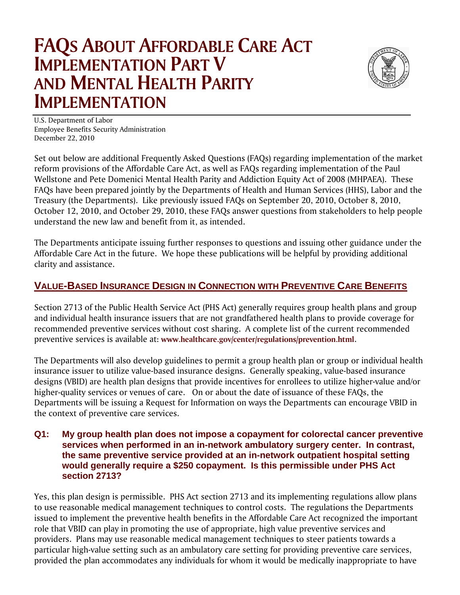# **FAQS ABOUT AFFORDABLE CARE ACT IMPLEMENTATION PART V AND MENTAL HEALTH PARITY IMPLEMENTATION**



U.S. Department of Labor Employee Benefits Security Administration December 22, 2010

Set out below are additional Frequently Asked Questions (FAQs) regarding implementation of the market reform provisions of the Affordable Care Act, as well as FAQs regarding implementation of the Paul Wellstone and Pete Domenici Mental Health Parity and Addiction Equity Act of 2008 (MHPAEA). These FAQs have been prepared jointly by the Departments of Health and Human Services (HHS), Labor and the Treasury (the Departments). Like previously issued FAQs on September 20, 2010, October 8, 2010, October 12, 2010, and October 29, 2010, these FAQs answer questions from stakeholders to help people understand the new law and benefit from it, as intended.

The Departments anticipate issuing further responses to questions and issuing other guidance under the Affordable Care Act in the future. We hope these publications will be helpful by providing additional clarity and assistance.

# **VALUE-BASED INSURANCE DESIGN IN CONNECTION WITH PREVENTIVE CARE BENEFITS**

Section 2713 of the Public Health Service Act (PHS Act) generally requires group health plans and group and individual health insurance issuers that are not grandfathered health plans to provide coverage for recommended preventive services without cost sharing. A complete list of the current recommended preventive services is available at: **www.healthcare.gov/center/regulations/prevention.html**.

The Departments will also develop guidelines to permit a group health plan or group or individual health insurance issuer to utilize value-based insurance designs. Generally speaking, value-based insurance designs (VBID) are health plan designs that provide incentives for enrollees to utilize higher-value and/or higher-quality services or venues of care. On or about the date of issuance of these FAQs, the Departments will be issuing a Request for Information on ways the Departments can encourage VBID in the context of preventive care services.

#### **Q1: My group health plan does not impose a copayment for colorectal cancer preventive services when performed in an in-network ambulatory surgery center. In contrast, the same preventive service provided at an in-network outpatient hospital setting would generally require a \$250 copayment. Is this permissible under PHS Act section 2713?**

Yes, this plan design is permissible. PHS Act section 2713 and its implementing regulations allow plans to use reasonable medical management techniques to control costs. The regulations the Departments issued to implement the preventive health benefits in the Affordable Care Act recognized the important role that VBID can play in promoting the use of appropriate, high value preventive services and providers. Plans may use reasonable medical management techniques to steer patients towards a particular high-value setting such as an ambulatory care setting for providing preventive care services, provided the plan accommodates any individuals for whom it would be medically inappropriate to have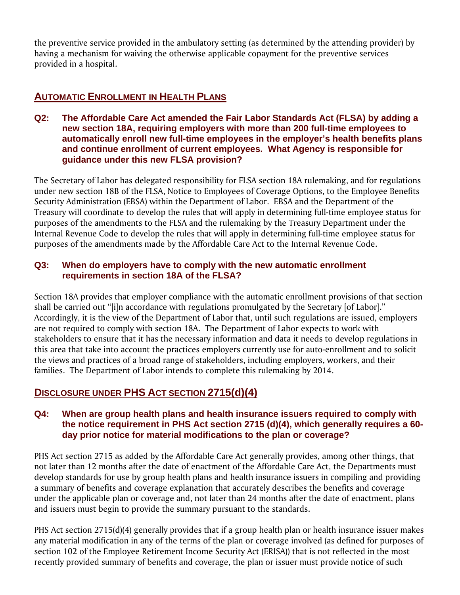the preventive service provided in the ambulatory setting (as determined by the attending provider) by having a mechanism for waiving the otherwise applicable copayment for the preventive services provided in a hospital.

## **AUTOMATIC ENROLLMENT IN HEALTH PLANS**

**Q2: The Affordable Care Act amended the Fair Labor Standards Act (FLSA) by adding a new section 18A, requiring employers with more than 200 full-time employees to automatically enroll new full-time employees in the employer's health benefits plans and continue enrollment of current employees. What Agency is responsible for guidance under this new FLSA provision?** 

The Secretary of Labor has delegated responsibility for FLSA section 18A rulemaking, and for regulations under new section 18B of the FLSA, Notice to Employees of Coverage Options, to the Employee Benefits Security Administration (EBSA) within the Department of Labor. EBSA and the Department of the Treasury will coordinate to develop the rules that will apply in determining full-time employee status for purposes of the amendments to the FLSA and the rulemaking by the Treasury Department under the Internal Revenue Code to develop the rules that will apply in determining full-time employee status for purposes of the amendments made by the Affordable Care Act to the Internal Revenue Code.

#### **Q3: When do employers have to comply with the new automatic enrollment requirements in section 18A of the FLSA?**

Section 18A provides that employer compliance with the automatic enrollment provisions of that section shall be carried out "[i]n accordance with regulations promulgated by the Secretary [of Labor]." Accordingly, it is the view of the Department of Labor that, until such regulations are issued, employers are not required to comply with section 18A. The Department of Labor expects to work with stakeholders to ensure that it has the necessary information and data it needs to develop regulations in this area that take into account the practices employers currently use for auto-enrollment and to solicit the views and practices of a broad range of stakeholders, including employers, workers, and their families. The Department of Labor intends to complete this rulemaking by 2014.

## **DISCLOSURE UNDER PHS ACT SECTION 2715(d)(4)**

#### **Q4: When are group health plans and health insurance issuers required to comply with the notice requirement in PHS Act section 2715 (d)(4), which generally requires a 60 day prior notice for material modifications to the plan or coverage?**

PHS Act section 2715 as added by the Affordable Care Act generally provides, among other things, that not later than 12 months after the date of enactment of the Affordable Care Act, the Departments must develop standards for use by group health plans and health insurance issuers in compiling and providing a summary of benefits and coverage explanation that accurately describes the benefits and coverage under the applicable plan or coverage and, not later than 24 months after the date of enactment, plans and issuers must begin to provide the summary pursuant to the standards.

PHS Act section 2715(d)(4) generally provides that if a group health plan or health insurance issuer makes any material modification in any of the terms of the plan or coverage involved (as defined for purposes of section 102 of the Employee Retirement Income Security Act (ERISA)) that is not reflected in the most recently provided summary of benefits and coverage, the plan or issuer must provide notice of such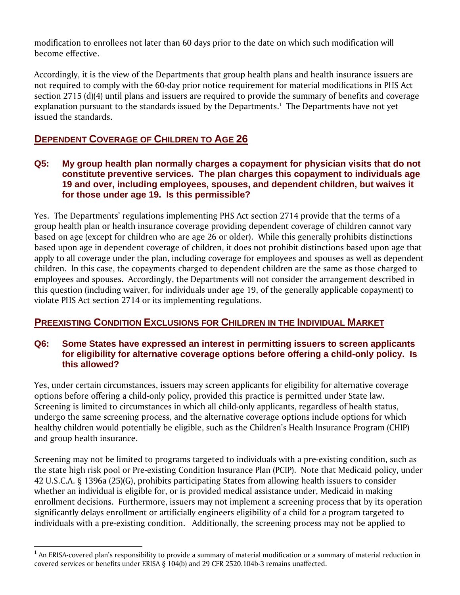modification to enrollees not later than 60 days prior to the date on which such modification will become effective.

Accordingly, it is the view of the Departments that group health plans and health insurance issuers are not required to comply with the 60-day prior notice requirement for material modifications in PHS Act section 2715 (d)(4) until plans and issuers are required to provide the summary of benefits and coverage explanation pursuant to the standards issued by the Departments. $<sup>1</sup>$  The Departments have not yet</sup> issued the standards.

## **DEPENDENT COVERAGE OF CHILDREN TO AGE 26**

#### **Q5: My group health plan normally charges a copayment for physician visits that do not constitute preventive services. The plan charges this copayment to individuals age 19 and over, including employees, spouses, and dependent children, but waives it for those under age 19. Is this permissible?**

Yes. The Departments' regulations implementing PHS Act section 2714 provide that the terms of a group health plan or health insurance coverage providing dependent coverage of children cannot vary based on age (except for children who are age 26 or older). While this generally prohibits distinctions based upon age in dependent coverage of children, it does not prohibit distinctions based upon age that apply to all coverage under the plan, including coverage for employees and spouses as well as dependent children. In this case, the copayments charged to dependent children are the same as those charged to employees and spouses. Accordingly, the Departments will not consider the arrangement described in this question (including waiver, for individuals under age 19, of the generally applicable copayment) to violate PHS Act section 2714 or its implementing regulations.

## **PREEXISTING CONDITION EXCLUSIONS FOR CHILDREN IN THE INDIVIDUAL MARKET**

#### **Q6: Some States have expressed an interest in permitting issuers to screen applicants for eligibility for alternative coverage options before offering a child-only policy. Is this allowed?**

Yes, under certain circumstances, issuers may screen applicants for eligibility for alternative coverage options before offering a child-only policy, provided this practice is permitted under State law. Screening is limited to circumstances in which all child-only applicants, regardless of health status, undergo the same screening process, and the alternative coverage options include options for which healthy children would potentially be eligible, such as the Children's Health Insurance Program (CHIP) and group health insurance.

Screening may not be limited to programs targeted to individuals with a pre-existing condition, such as the state high risk pool or Pre-existing Condition Insurance Plan (PCIP). Note that Medicaid policy, under 42 U.S.C.A. § 1396a (25)(G), prohibits participating States from allowing health issuers to consider whether an individual is eligible for, or is provided medical assistance under, Medicaid in making enrollment decisions. Furthermore, issuers may not implement a screening process that by its operation significantly delays enrollment or artificially engineers eligibility of a child for a program targeted to individuals with a pre-existing condition. Additionally, the screening process may not be applied to

 $<sup>1</sup>$  An ERISA-covered plan's responsibility to provide a summary of material modification or a summary of material reduction in</sup> covered services or benefits under ERISA § 104(b) and 29 CFR 2520.104b-3 remains unaffected.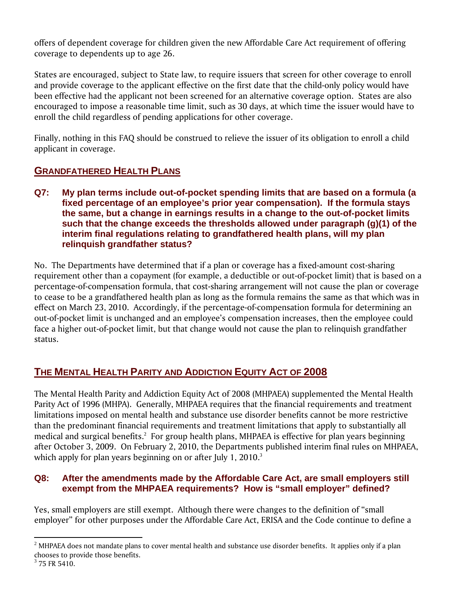offers of dependent coverage for children given the new Affordable Care Act requirement of offering coverage to dependents up to age 26.

States are encouraged, subject to State law, to require issuers that screen for other coverage to enroll and provide coverage to the applicant effective on the first date that the child-only policy would have been effective had the applicant not been screened for an alternative coverage option. States are also encouraged to impose a reasonable time limit, such as 30 days, at which time the issuer would have to enroll the child regardless of pending applications for other coverage.

Finally, nothing in this FAQ should be construed to relieve the issuer of its obligation to enroll a child applicant in coverage.

# **GRANDFATHERED HEALTH PLANS**

**Q7: My plan terms include out-of-pocket spending limits that are based on a formula (a fixed percentage of an employee's prior year compensation). If the formula stays the same, but a change in earnings results in a change to the out-of-pocket limits such that the change exceeds the thresholds allowed under paragraph (g)(1) of the interim final regulations relating to grandfathered health plans, will my plan relinquish grandfather status?** 

No. The Departments have determined that if a plan or coverage has a fixed-amount cost-sharing requirement other than a copayment (for example, a deductible or out-of-pocket limit) that is based on a percentage-of-compensation formula, that cost-sharing arrangement will not cause the plan or coverage to cease to be a grandfathered health plan as long as the formula remains the same as that which was in effect on March 23, 2010. Accordingly, if the percentage-of-compensation formula for determining an out-of-pocket limit is unchanged and an employee's compensation increases, then the employee could face a higher out-of-pocket limit, but that change would not cause the plan to relinquish grandfather status.

# **THE MENTAL HEALTH PARITY AND ADDICTION EQUITY ACT OF 2008**

The Mental Health Parity and Addiction Equity Act of 2008 (MHPAEA) supplemented the Mental Health Parity Act of 1996 (MHPA). Generally, MHPAEA requires that the financial requirements and treatment limitations imposed on mental health and substance use disorder benefits cannot be more restrictive than the predominant financial requirements and treatment limitations that apply to substantially all medical and surgical benefits.<sup>2</sup> For group health plans, MHPAEA is effective for plan years beginning after October 3, 2009. On February 2, 2010, the Departments published interim final rules on MHPAEA, which apply for plan years beginning on or after July 1, 2010. $^3$ 

### **Q8: After the amendments made by the Affordable Care Act, are small employers still exempt from the MHPAEA requirements? How is "small employer" defined?**

Yes, small employers are still exempt. Although there were changes to the definition of "small employer" for other purposes under the Affordable Care Act, ERISA and the Code continue to define a

 $2$  MHPAEA does not mandate plans to cover mental health and substance use disorder benefits. It applies only if a plan chooses to provide those benefits.

 $3$  75 FR 5410.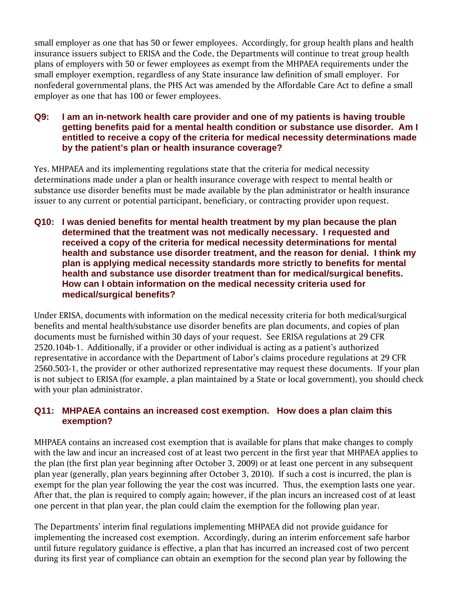small employer as one that has 50 or fewer employees. Accordingly, for group health plans and health insurance issuers subject to ERISA and the Code, the Departments will continue to treat group health plans of employers with 50 or fewer employees as exempt from the MHPAEA requirements under the small employer exemption, regardless of any State insurance law definition of small employer. For nonfederal governmental plans, the PHS Act was amended by the Affordable Care Act to define a small employer as one that has 100 or fewer employees.

#### **Q9: I am an in-network health care provider and one of my patients is having trouble getting benefits paid for a mental health condition or substance use disorder. Am I entitled to receive a copy of the criteria for medical necessity determinations made by the patient's plan or health insurance coverage?**

Yes. MHPAEA and its implementing regulations state that the criteria for medical necessity determinations made under a plan or health insurance coverage with respect to mental health or substance use disorder benefits must be made available by the plan administrator or health insurance issuer to any current or potential participant, beneficiary, or contracting provider upon request.

**Q10: I was denied benefits for mental health treatment by my plan because the plan determined that the treatment was not medically necessary. I requested and received a copy of the criteria for medical necessity determinations for mental health and substance use disorder treatment, and the reason for denial. I think my plan is applying medical necessity standards more strictly to benefits for mental health and substance use disorder treatment than for medical/surgical benefits. How can I obtain information on the medical necessity criteria used for medical/surgical benefits?** 

Under ERISA, documents with information on the medical necessity criteria for both medical/surgical benefits and mental health/substance use disorder benefits are plan documents, and copies of plan documents must be furnished within 30 days of your request. See ERISA regulations at 29 CFR 2520.104b-1. Additionally, if a provider or other individual is acting as a patient's authorized representative in accordance with the Department of Labor's claims procedure regulations at 29 CFR 2560.503-1, the provider or other authorized representative may request these documents. If your plan is not subject to ERISA (for example, a plan maintained by a State or local government), you should check with your plan administrator.

#### **Q11: MHPAEA contains an increased cost exemption. How does a plan claim this exemption?**

MHPAEA contains an increased cost exemption that is available for plans that make changes to comply with the law and incur an increased cost of at least two percent in the first year that MHPAEA applies to the plan (the first plan year beginning after October 3, 2009) or at least one percent in any subsequent plan year (generally, plan years beginning after October 3, 2010). If such a cost is incurred, the plan is exempt for the plan year following the year the cost was incurred. Thus, the exemption lasts one year. After that, the plan is required to comply again; however, if the plan incurs an increased cost of at least one percent in that plan year, the plan could claim the exemption for the following plan year.

The Departments' interim final regulations implementing MHPAEA did not provide guidance for implementing the increased cost exemption. Accordingly, during an interim enforcement safe harbor until future regulatory guidance is effective, a plan that has incurred an increased cost of two percent during its first year of compliance can obtain an exemption for the second plan year by following the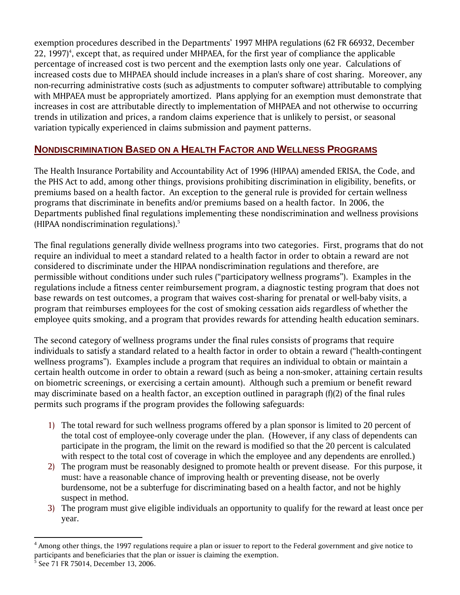exemption procedures described in the Departments' 1997 MHPA regulations (62 FR 66932, December  $22$ , 1997)<sup>4</sup>, except that, as required under MHPAEA, for the first year of compliance the applicable percentage of increased cost is two percent and the exemption lasts only one year. Calculations of increased costs due to MHPAEA should include increases in a plan's share of cost sharing. Moreover, any non-recurring administrative costs (such as adjustments to computer software) attributable to complying with MHPAEA must be appropriately amortized. Plans applying for an exemption must demonstrate that increases in cost are attributable directly to implementation of MHPAEA and not otherwise to occurring trends in utilization and prices, a random claims experience that is unlikely to persist, or seasonal variation typically experienced in claims submission and payment patterns.

## **NONDISCRIMINATION BASED ON A HEALTH FACTOR AND WELLNESS PROGRAMS**

The Health Insurance Portability and Accountability Act of 1996 (HIPAA) amended ERISA, the Code, and the PHS Act to add, among other things, provisions prohibiting discrimination in eligibility, benefits, or premiums based on a health factor. An exception to the general rule is provided for certain wellness programs that discriminate in benefits and/or premiums based on a health factor. In 2006, the Departments published final regulations implementing these nondiscrimination and wellness provisions (HIPAA nondiscrimination regulations).5

The final regulations generally divide wellness programs into two categories. First, programs that do not require an individual to meet a standard related to a health factor in order to obtain a reward are not considered to discriminate under the HIPAA nondiscrimination regulations and therefore, are permissible without conditions under such rules ("participatory wellness programs"). Examples in the regulations include a fitness center reimbursement program, a diagnostic testing program that does not base rewards on test outcomes, a program that waives cost-sharing for prenatal or well-baby visits, a program that reimburses employees for the cost of smoking cessation aids regardless of whether the employee quits smoking, and a program that provides rewards for attending health education seminars.

The second category of wellness programs under the final rules consists of programs that require individuals to satisfy a standard related to a health factor in order to obtain a reward ("health-contingent wellness programs"). Examples include a program that requires an individual to obtain or maintain a certain health outcome in order to obtain a reward (such as being a non-smoker, attaining certain results on biometric screenings, or exercising a certain amount). Although such a premium or benefit reward may discriminate based on a health factor, an exception outlined in paragraph  $(f)(2)$  of the final rules permits such programs if the program provides the following safeguards:

- 1) The total reward for such wellness programs offered by a plan sponsor is limited to 20 percent of the total cost of employee-only coverage under the plan. (However, if any class of dependents can participate in the program, the limit on the reward is modified so that the 20 percent is calculated with respect to the total cost of coverage in which the employee and any dependents are enrolled.)
- 2) The program must be reasonably designed to promote health or prevent disease. For this purpose, it must: have a reasonable chance of improving health or preventing disease, not be overly burdensome, not be a subterfuge for discriminating based on a health factor, and not be highly suspect in method.
- 3) The program must give eligible individuals an opportunity to qualify for the reward at least once per year.

 $<sup>4</sup>$  Among other things, the 1997 regulations require a plan or issuer to report to the Federal government and give notice to</sup> participants and beneficiaries that the plan or issuer is claiming the exemption. 5

See 71 FR 75014, December 13, 2006.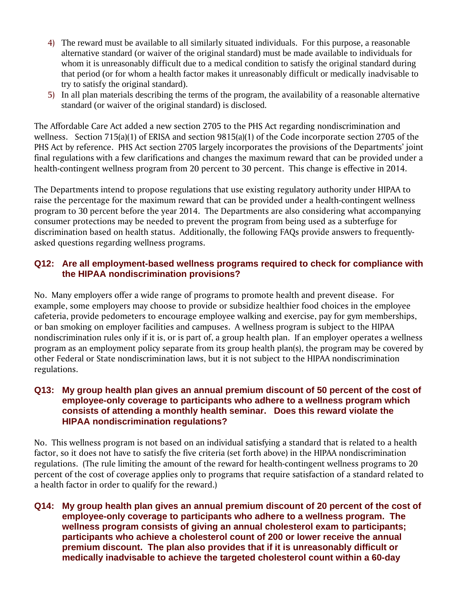- 4) The reward must be available to all similarly situated individuals. For this purpose, a reasonable alternative standard (or waiver of the original standard) must be made available to individuals for whom it is unreasonably difficult due to a medical condition to satisfy the original standard during that period (or for whom a health factor makes it unreasonably difficult or medically inadvisable to try to satisfy the original standard).
- 5) In all plan materials describing the terms of the program, the availability of a reasonable alternative standard (or waiver of the original standard) is disclosed.

The Affordable Care Act added a new section 2705 to the PHS Act regarding nondiscrimination and wellness. Section 715(a)(1) of ERISA and section 9815(a)(1) of the Code incorporate section 2705 of the PHS Act by reference. PHS Act section 2705 largely incorporates the provisions of the Departments' joint final regulations with a few clarifications and changes the maximum reward that can be provided under a health-contingent wellness program from 20 percent to 30 percent. This change is effective in 2014.

The Departments intend to propose regulations that use existing regulatory authority under HIPAA to raise the percentage for the maximum reward that can be provided under a health-contingent wellness program to 30 percent before the year 2014. The Departments are also considering what accompanying consumer protections may be needed to prevent the program from being used as a subterfuge for discrimination based on health status. Additionally, the following FAQs provide answers to frequentlyasked questions regarding wellness programs.

#### **Q12: Are all employment-based wellness programs required to check for compliance with the HIPAA nondiscrimination provisions?**

No. Many employers offer a wide range of programs to promote health and prevent disease. For example, some employers may choose to provide or subsidize healthier food choices in the employee cafeteria, provide pedometers to encourage employee walking and exercise, pay for gym memberships, or ban smoking on employer facilities and campuses. A wellness program is subject to the HIPAA nondiscrimination rules only if it is, or is part of, a group health plan. If an employer operates a wellness program as an employment policy separate from its group health plan(s), the program may be covered by other Federal or State nondiscrimination laws, but it is not subject to the HIPAA nondiscrimination regulations.

#### **Q13: My group health plan gives an annual premium discount of 50 percent of the cost of employee-only coverage to participants who adhere to a wellness program which consists of attending a monthly health seminar. Does this reward violate the HIPAA nondiscrimination regulations?**

No. This wellness program is not based on an individual satisfying a standard that is related to a health factor, so it does not have to satisfy the five criteria (set forth above) in the HIPAA nondiscrimination regulations. (The rule limiting the amount of the reward for health-contingent wellness programs to 20 percent of the cost of coverage applies only to programs that require satisfaction of a standard related to a health factor in order to qualify for the reward.)

**Q14: My group health plan gives an annual premium discount of 20 percent of the cost of employee-only coverage to participants who adhere to a wellness program. The wellness program consists of giving an annual cholesterol exam to participants; participants who achieve a cholesterol count of 200 or lower receive the annual premium discount. The plan also provides that if it is unreasonably difficult or medically inadvisable to achieve the targeted cholesterol count within a 60-day**